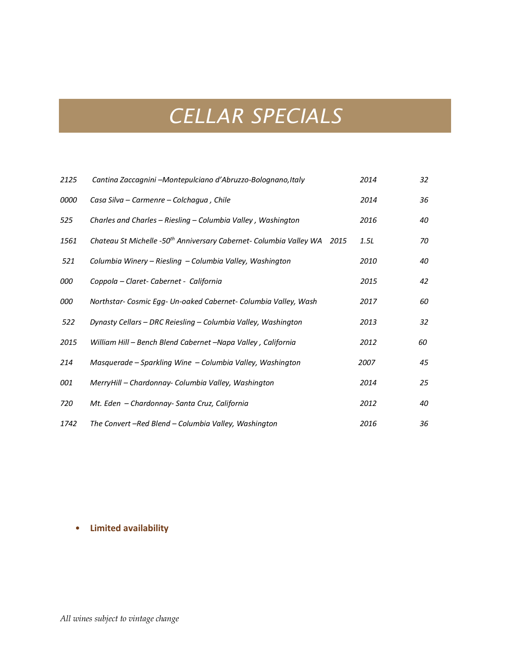### *CELLAR SPECIALS*

| 2125        | Cantina Zaccagnini -Montepulciano d'Abruzzo-Bolognano, Italy                        | 2014 | 32 |
|-------------|-------------------------------------------------------------------------------------|------|----|
| <i>0000</i> | Casa Silva – Carmenre – Colchagua, Chile                                            | 2014 | 36 |
| 525         | Charles and Charles - Riesling - Columbia Valley, Washington                        | 2016 | 40 |
| 1561        | Chateau St Michelle -50 <sup>th</sup> Anniversary Cabernet- Columbia Valley WA 2015 | 1.5L | 70 |
| 521         | Columbia Winery – Riesling – Columbia Valley, Washington                            | 2010 | 40 |
| 000         | Coppola - Claret- Cabernet - California                                             | 2015 | 42 |
| 000         | Northstar- Cosmic Egg- Un-oaked Cabernet- Columbia Valley, Wash                     | 2017 | 60 |
| 522         | Dynasty Cellars - DRC Reiesling - Columbia Valley, Washington                       | 2013 | 32 |
| 2015        | William Hill - Bench Blend Cabernet -Napa Valley, California                        | 2012 | 60 |
| 214         | Masquerade – Sparkling Wine – Columbia Valley, Washington                           | 2007 | 45 |
| 001         | MerryHill - Chardonnay- Columbia Valley, Washington                                 | 2014 | 25 |
| 720         | Mt. Eden - Chardonnay- Santa Cruz, California                                       | 2012 | 40 |
| 1742        | The Convert -Red Blend - Columbia Valley, Washington                                | 2016 | 36 |

#### • **Limited availability**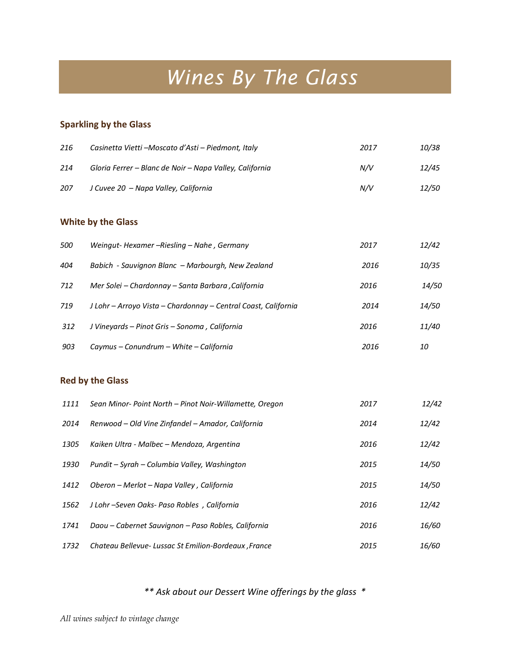# *Wines By The Glass*

#### **Sparkling by the Glass**

| 216 | Casinetta Vietti – Moscato d'Asti – Piedmont, Italy     | 2017 | <i>10/38</i> |
|-----|---------------------------------------------------------|------|--------------|
| 214 | Gloria Ferrer – Blanc de Noir – Napa Valley, California | N/V  | 12/45        |
| 207 | J Cuvee 20 - Napa Valley, California                    | N/V  | <i>12/50</i> |

#### **White by the Glass**

| 500 | Weingut-Hexamer –Riesling – Nahe, Germany                      | 2017 | 12/42        |
|-----|----------------------------------------------------------------|------|--------------|
| 404 | Babich - Sauvignon Blanc – Marbourgh, New Zealand              | 2016 | 10/35        |
| 712 | Mer Solei - Chardonnay - Santa Barbara , California            | 2016 | 14/50        |
| 719 | J Lohr - Arroyo Vista - Chardonnay - Central Coast, California | 2014 | <i>14/50</i> |
| 312 | J Vineyards – Pinot Gris – Sonoma, California                  | 2016 | 11/40        |
| 903 | Caymus – Conundrum – White – California                        | 2016 | 10           |

#### **Red by the Glass**

| 1111 | Sean Minor-Point North - Pinot Noir-Willamette, Oregon | 2017 | 12/42        |
|------|--------------------------------------------------------|------|--------------|
| 2014 | Renwood – Old Vine Zinfandel – Amador, California      | 2014 | 12/42        |
| 1305 | Kaiken Ultra - Malbec - Mendoza, Argentina             | 2016 | 12/42        |
| 1930 | Pundit – Syrah – Columbia Valley, Washington           | 2015 | <i>14/50</i> |
| 1412 | Oberon – Merlot – Napa Valley, California              | 2015 | <i>14/50</i> |
| 1562 | J Lohr-Seven Oaks- Paso Robles, California             | 2016 | 12/42        |
| 1741 | Daou – Cabernet Sauvignon – Paso Robles, California    | 2016 | 16/60        |
| 1732 | Chateau Bellevue- Lussac St Emilion-Bordeaux, France   | 2015 | 16/60        |

#### *\*\* Ask about our Dessert Wine offerings by the glass \**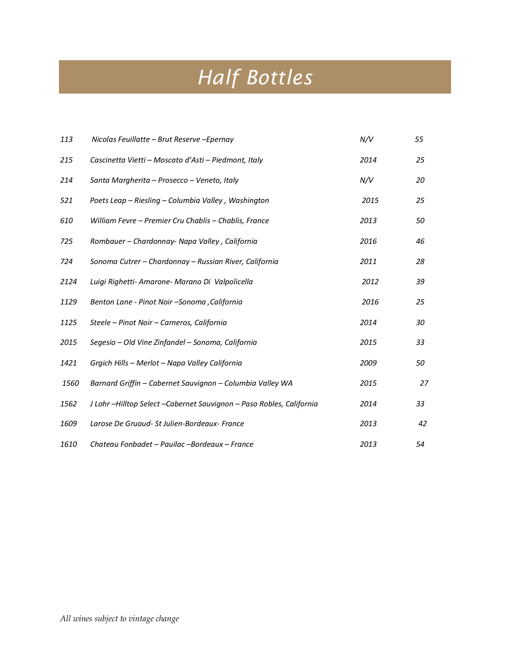# *Half Bottles*

| 113  | Nicolas Feuillatte - Brut Reserve - Epernay                        | N/V  | 55 |
|------|--------------------------------------------------------------------|------|----|
| 215  | Cascinetta Vietti - Moscato d'Asti - Piedmont, Italy               | 2014 | 25 |
| 214  | Santa Margherita - Prosecco - Veneto, Italy                        | N/V  | 20 |
| 521  | Poets Leap - Riesling - Columbia Valley, Washington                | 2015 | 25 |
| 610  | William Fevre - Premier Cru Chablis - Chablis, France              | 2013 | 50 |
| 725  | Rombauer - Chardonnay- Napa Valley, California                     | 2016 | 46 |
| 724  | Sonoma Cutrer - Chardonnay - Russian River, California             | 2011 | 28 |
| 2124 | Luigi Righetti- Amarone- Marano Di Valpolicella                    | 2012 | 39 |
| 1129 | Benton Lane - Pinot Noir - Sonoma , California                     | 2016 | 25 |
| 1125 | Steele - Pinot Noir - Carneros, California                         | 2014 | 30 |
| 2015 | Segesio - Old Vine Zinfandel - Sonoma, California                  | 2015 | 33 |
| 1421 | Grgich Hills - Merlot - Napa Valley California                     | 2009 | 50 |
| 1560 | Barnard Griffin - Cabernet Sauvignon - Columbia Valley WA          | 2015 | 27 |
| 1562 | J Lohr-Hilltop Select-Cabernet Sauvignon - Paso Robles, California | 2014 | 33 |
| 1609 | Larose De Gruaud- St Julien-Bordeaux- France                       | 2013 | 42 |
| 1610 | Chateau Fonbadet - Pauilac - Bordeaux - France                     | 2013 | 54 |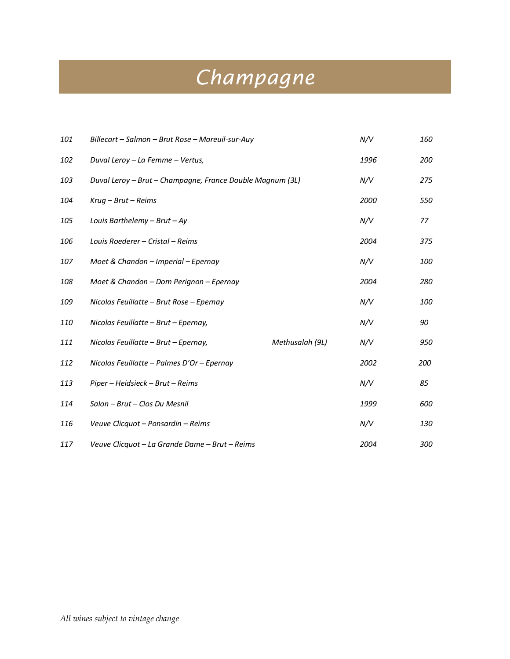## *Champagne*

| 101 | Billecart - Salmon - Brut Rose - Mareuil-sur-Auy          |                 | N/V  | 160 |
|-----|-----------------------------------------------------------|-----------------|------|-----|
| 102 | Duval Leroy - La Femme - Vertus,                          |                 | 1996 | 200 |
| 103 | Duval Leroy - Brut - Champagne, France Double Magnum (3L) |                 | N/V  | 275 |
| 104 | $Krug - Brut - Reims$                                     |                 | 2000 | 550 |
| 105 | Louis Barthelemy $-$ Brut $-$ Ay                          |                 | N/V  | 77  |
| 106 | Louis Roederer - Cristal - Reims                          |                 | 2004 | 375 |
| 107 | Moet & Chandon - Imperial - Epernay                       |                 | N/V  | 100 |
| 108 | Moet & Chandon - Dom Perignon - Epernay                   |                 | 2004 | 280 |
| 109 | Nicolas Feuillatte - Brut Rose - Epernay                  |                 | N/V  | 100 |
| 110 | Nicolas Feuillatte - Brut - Epernay,                      |                 | N/V  | 90  |
| 111 | Nicolas Feuillatte - Brut - Epernay,                      | Methusalah (9L) | N/V  | 950 |
| 112 | Nicolas Feuillatte - Palmes D'Or - Epernay                |                 | 2002 | 200 |
| 113 | Piper - Heidsieck - Brut - Reims                          |                 | N/V  | 85  |
| 114 | Salon - Brut - Clos Du Mesnil                             |                 | 1999 | 600 |
| 116 | Veuve Clicquot - Ponsardin - Reims                        |                 | N/V  | 130 |
| 117 | Veuve Clicquot - La Grande Dame - Brut - Reims            |                 | 2004 | 300 |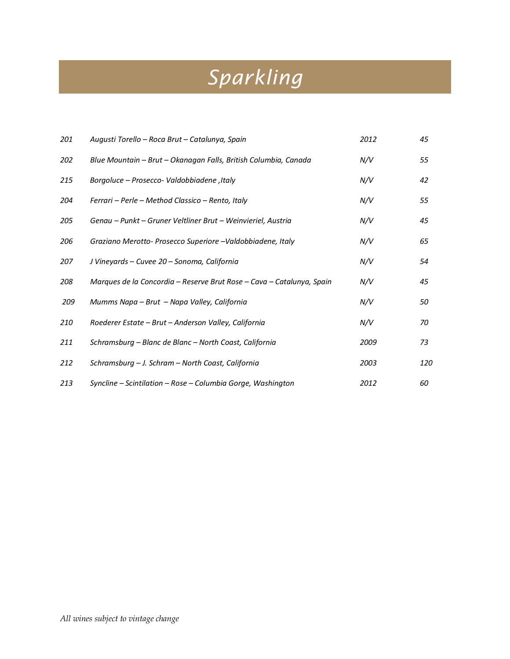# *Sparkling*

| 201 | Augusti Torello – Roca Brut – Catalunya, Spain                        | 2012 | 45  |
|-----|-----------------------------------------------------------------------|------|-----|
| 202 | Blue Mountain – Brut – Okanagan Falls, British Columbia, Canada       | N/V  | 55  |
| 215 | Borgoluce - Prosecco- Valdobbiadene, Italy                            | N/V  | 42  |
| 204 | Ferrari – Perle – Method Classico – Rento, Italy                      | N/V  | 55  |
| 205 | Genau – Punkt – Gruner Veltliner Brut – Weinvieriel, Austria          | N/V  | 45  |
| 206 | Graziano Merotto- Prosecco Superiore - Valdobbiadene, Italy           | N/V  | 65  |
| 207 | J Vineyards - Cuvee 20 - Sonoma, California                           | N/V  | 54  |
| 208 | Marques de la Concordia – Reserve Brut Rose – Cava – Catalunya, Spain | N/V  | 45  |
| 209 | Mumms Napa – Brut – Napa Valley, California                           | N/V  | 50  |
| 210 | Roederer Estate - Brut - Anderson Valley, California                  | N/V  | 70  |
| 211 | Schramsburg - Blanc de Blanc - North Coast, California                | 2009 | 73  |
| 212 | Schramsburg - J. Schram - North Coast, California                     | 2003 | 120 |
| 213 | Syncline – Scintilation – Rose – Columbia Gorge, Washington           | 2012 | 60  |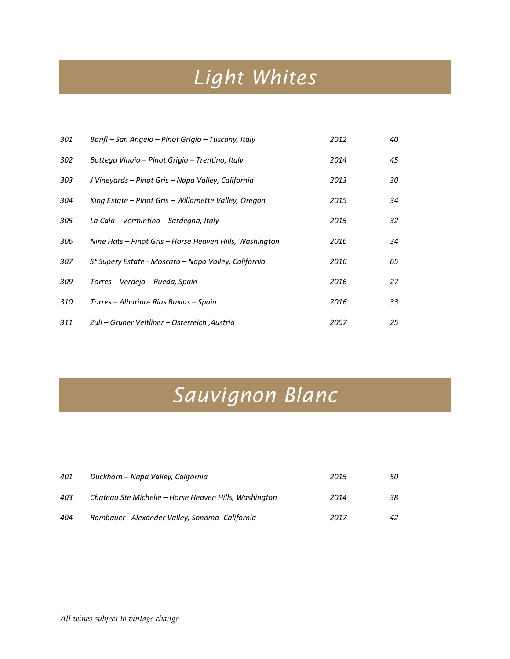## *Light Whites*

| 301 | Banfi – San Angelo – Pinot Grigio – Tuscany, Italy      | 2012 | 40 |
|-----|---------------------------------------------------------|------|----|
| 302 | Bottega Vinaia – Pinot Grigio – Trentino, Italy         | 2014 | 45 |
| 303 | J Vineyards – Pinot Gris – Napa Valley, California      | 2013 | 30 |
| 304 | King Estate – Pinot Gris – Willamette Valley, Oregon    | 2015 | 34 |
| 305 | La Cala – Vermintino – Sardegna, Italy                  | 2015 | 32 |
| 306 | Nine Hats – Pinot Gris – Horse Heaven Hills, Washington | 2016 | 34 |
| 307 | St Supery Estate - Moscato – Napa Valley, California    | 2016 | 65 |
| 309 | Torres – Verdejo – Rueda, Spain                         | 2016 | 27 |
| 310 | Torres – Albarino- Rias Baxias – Spain                  | 2016 | 33 |
| 311 | Zull – Gruner Veltliner – Osterreich , Austria          | 2007 | 25 |

## *Sauvignon Blanc*

| 401 | Duckhorn – Napa Valley, California                    | 2015 | 50 |
|-----|-------------------------------------------------------|------|----|
| 403 | Chateau Ste Michelle – Horse Heaven Hills, Washington | 2014 | 38 |
| 404 | Rombauer - Alexander Valley, Sonoma- California       | 2017 | 42 |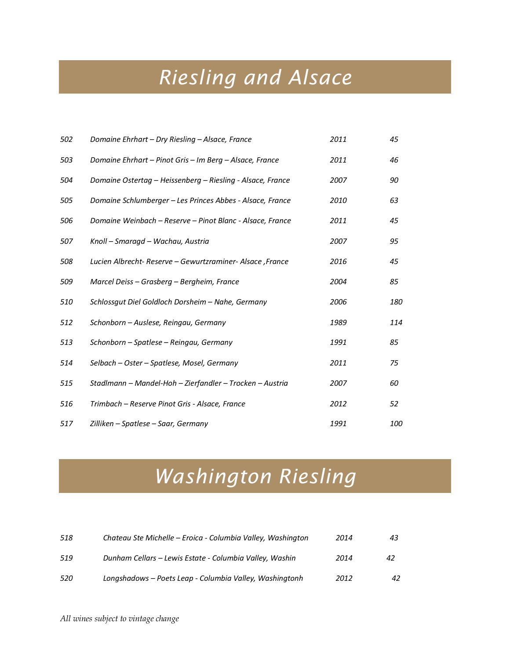## *Riesling and Alsace*

| 502 | Domaine Ehrhart - Dry Riesling - Alsace, France            | 2011 | 45  |
|-----|------------------------------------------------------------|------|-----|
| 503 | Domaine Ehrhart - Pinot Gris - Im Berg - Alsace, France    | 2011 | 46  |
| 504 | Domaine Ostertag – Heissenberg – Riesling - Alsace, France | 2007 | 90  |
| 505 | Domaine Schlumberger - Les Princes Abbes - Alsace, France  | 2010 | 63  |
| 506 | Domaine Weinbach - Reserve - Pinot Blanc - Alsace, France  | 2011 | 45  |
| 507 | Knoll – Smaragd – Wachau, Austria                          | 2007 | 95  |
| 508 | Lucien Albrecht- Reserve - Gewurtzraminer- Alsace, France  | 2016 | 45  |
| 509 | Marcel Deiss – Grasberg – Bergheim, France                 | 2004 | 85  |
| 510 | Schlossgut Diel Goldloch Dorsheim - Nahe, Germany          | 2006 | 180 |
| 512 | Schonborn - Auslese, Reingau, Germany                      | 1989 | 114 |
| 513 | Schonborn – Spatlese – Reingau, Germany                    | 1991 | 85  |
| 514 | Selbach – Oster – Spatlese, Mosel, Germany                 | 2011 | 75  |
| 515 | Stadlmann – Mandel-Hoh – Zierfandler – Trocken – Austria   | 2007 | 60  |
| 516 | Trimbach – Reserve Pinot Gris - Alsace, France             | 2012 | 52  |
| 517 | Zilliken – Spatlese – Saar, Germany                        | 1991 | 100 |

### *Washington Riesling*

| 518 | Chateau Ste Michelle – Eroica - Columbia Valley, Washington | 2014 | 43 |
|-----|-------------------------------------------------------------|------|----|
| 519 | Dunham Cellars – Lewis Estate - Columbia Valley, Washin     | 2014 | 42 |
| 520 | Longshadows – Poets Leap - Columbia Valley, Washingtonh     | 2012 | 42 |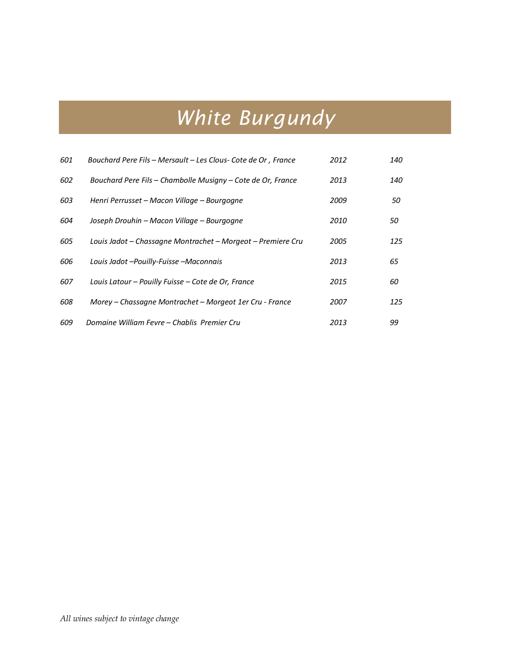# *White Burgundy*

| 601 | Bouchard Pere Fils - Mersault - Les Clous- Cote de Or, France | 2012 | 140 |
|-----|---------------------------------------------------------------|------|-----|
| 602 | Bouchard Pere Fils - Chambolle Musigny - Cote de Or, France   | 2013 | 140 |
| 603 | Henri Perrusset – Macon Village – Bourgogne                   | 2009 | 50  |
| 604 | Joseph Drouhin - Macon Village - Bourgogne                    | 2010 | 50  |
| 605 | Louis Jadot – Chassagne Montrachet – Morgeot – Premiere Cru   | 2005 | 125 |
| 606 | Louis Jadot - Pouilly-Fuisse - Maconnais                      | 2013 | 65  |
| 607 | Louis Latour - Pouilly Fuisse - Cote de Or, France            | 2015 | 60  |
| 608 | Morey – Chassagne Montrachet – Morgeot 1er Cru - France       | 2007 | 125 |
| 609 | Domaine William Fevre – Chablis Premier Cru                   | 2013 | 99  |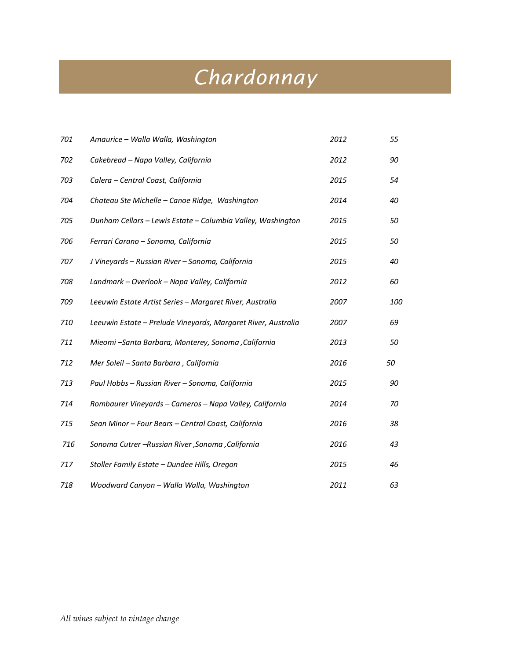## *Chardonnay*

| 701 | Amaurice - Walla Walla, Washington                            | 2012 | 55  |
|-----|---------------------------------------------------------------|------|-----|
| 702 | Cakebread - Napa Valley, California                           | 2012 | 90  |
| 703 | Calera - Central Coast, California                            | 2015 | 54  |
| 704 | Chateau Ste Michelle - Canoe Ridge, Washington                | 2014 | 40  |
| 705 | Dunham Cellars - Lewis Estate - Columbia Valley, Washington   | 2015 | 50  |
| 706 | Ferrari Carano - Sonoma, California                           | 2015 | 50  |
| 707 | J Vineyards - Russian River - Sonoma, California              | 2015 | 40  |
| 708 | Landmark - Overlook - Napa Valley, California                 | 2012 | 60  |
| 709 | Leeuwin Estate Artist Series - Margaret River, Australia      | 2007 | 100 |
| 710 | Leeuwin Estate - Prelude Vineyards, Margaret River, Australia | 2007 | 69  |
| 711 | Mieomi -Santa Barbara, Monterey, Sonoma, California           | 2013 | 50  |
| 712 | Mer Soleil - Santa Barbara, California                        | 2016 | 50  |
| 713 | Paul Hobbs - Russian River - Sonoma, California               | 2015 | 90  |
| 714 | Rombaurer Vineyards - Carneros - Napa Valley, California      | 2014 | 70  |
| 715 | Sean Minor - Four Bears - Central Coast, California           | 2016 | 38  |
| 716 | Sonoma Cutrer -Russian River, Sonoma, California              | 2016 | 43  |
| 717 | Stoller Family Estate - Dundee Hills, Oregon                  | 2015 | 46  |
| 718 | Woodward Canyon - Walla Walla, Washington                     | 2011 | 63  |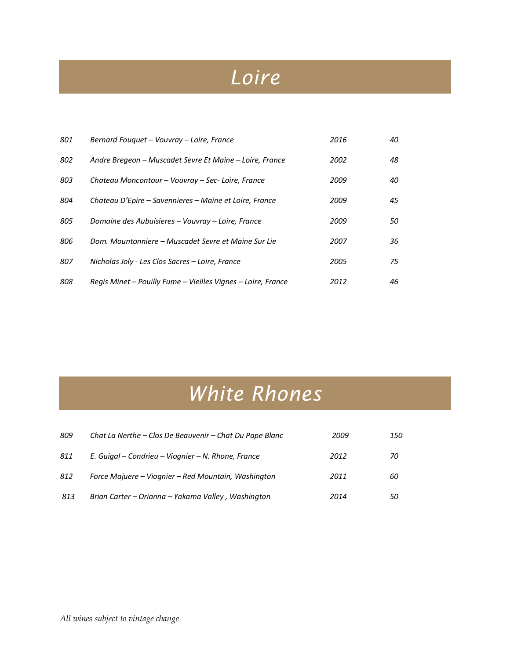### *Loire*

| 801 | Bernard Fouquet - Vouvray - Loire, France                    | 2016 | 40 |
|-----|--------------------------------------------------------------|------|----|
| 802 | Andre Bregeon – Muscadet Sevre Et Maine – Loire, France      | 2002 | 48 |
| 803 | Chateau Moncontour - Vouvray - Sec-Loire, France             | 2009 | 40 |
| 804 | Chateau D'Epire – Savennieres – Maine et Loire, France       | 2009 | 45 |
| 805 | Domaine des Aubuisieres – Vouvray – Loire, France            | 2009 | 50 |
| 806 | Dom. Mountonniere – Muscadet Sevre et Maine Sur Lie          | 2007 | 36 |
| 807 | Nicholas Joly - Les Clos Sacres - Loire, France              | 2005 | 75 |
| 808 | Regis Minet - Pouilly Fume - Vieilles Vignes - Loire, France | 2012 | 46 |

## *White Rhones*

| 809 | Chat La Nerthe – Clos De Beauvenir – Chat Du Pape Blanc | 2009 | 150 |
|-----|---------------------------------------------------------|------|-----|
| 811 | E. Guigal – Condrieu – Viognier – N. Rhone, France      | 2012 | 70  |
| 812 | Force Majuere – Viognier – Red Mountain, Washington     | 2011 | 60  |
| 813 | Brian Carter - Orianna - Yakama Valley, Washington      | 2014 | 50  |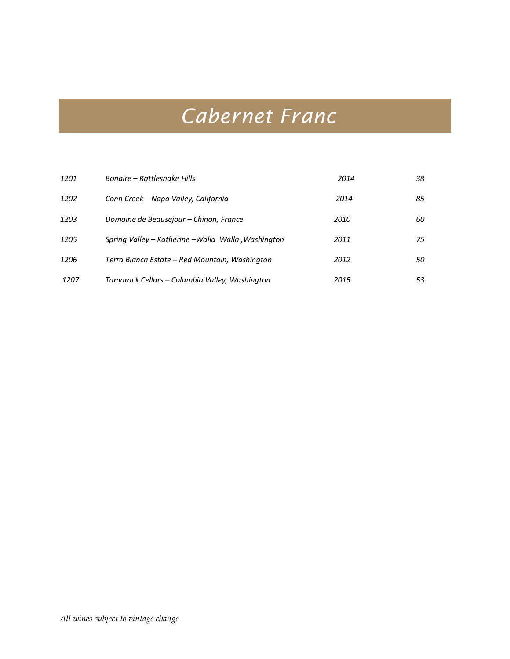## *Cabernet Franc*

| 1201 | Bonaire – Rattlesnake Hills                         | 2014 | 38 |
|------|-----------------------------------------------------|------|----|
| 1202 | Conn Creek - Napa Valley, California                | 2014 | 85 |
| 1203 | Domaine de Beausejour - Chinon, France              | 2010 | 60 |
| 1205 | Spring Valley – Katherine –Walla Walla , Washington | 2011 | 75 |
| 1206 | Terra Blanca Estate – Red Mountain, Washington      | 2012 | 50 |
| 1207 | Tamarack Cellars – Columbia Valley, Washington      | 2015 | 53 |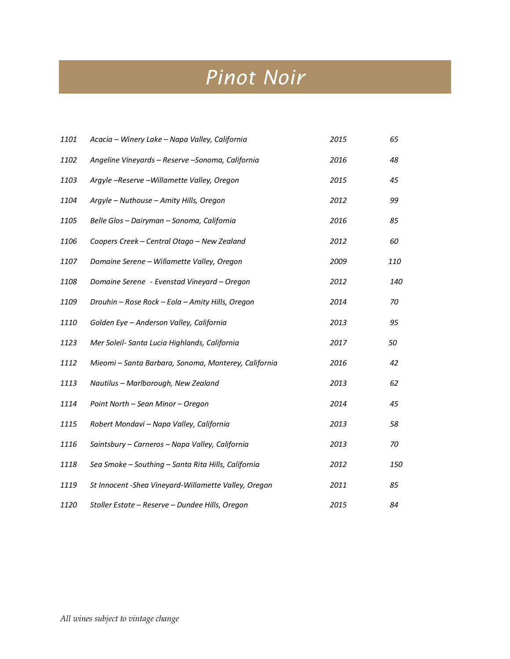### *Pinot Noir*

| 1101 | Acacia - Winery Lake - Napa Valley, California        | 2015 | 65  |
|------|-------------------------------------------------------|------|-----|
| 1102 | Angeline Vineyards - Reserve - Sonoma, California     | 2016 | 48  |
| 1103 | Argyle -Reserve -Willamette Valley, Oregon            | 2015 | 45  |
| 1104 | Argyle - Nuthouse - Amity Hills, Oregon               | 2012 | 99  |
| 1105 | Belle Glos - Dairyman - Sonoma, California            | 2016 | 85  |
| 1106 | Coopers Creek - Central Otago - New Zealand           | 2012 | 60  |
| 1107 | Domaine Serene - Willamette Valley, Oregon            | 2009 | 110 |
| 1108 | Domaine Serene - Evenstad Vineyard - Oregon           | 2012 | 140 |
| 1109 | Drouhin - Rose Rock - Eola - Amity Hills, Oregon      | 2014 | 70  |
| 1110 | Golden Eye - Anderson Valley, California              | 2013 | 95  |
| 1123 | Mer Soleil- Santa Lucia Highlands, California         | 2017 | 50  |
| 1112 | Mieomi - Santa Barbara, Sonoma, Monterey, California  | 2016 | 42  |
| 1113 | Nautilus - Marlborough, New Zealand                   | 2013 | 62  |
| 1114 | Point North - Sean Minor - Oregon                     | 2014 | 45  |
| 1115 | Robert Mondavi - Napa Valley, California              | 2013 | 58  |
| 1116 | Saintsbury - Carneros - Napa Valley, California       | 2013 | 70  |
| 1118 | Sea Smoke - Southing - Santa Rita Hills, California   | 2012 | 150 |
| 1119 | St Innocent - Shea Vineyard-Willamette Valley, Oregon | 2011 | 85  |
| 1120 | Stoller Estate - Reserve - Dundee Hills, Oregon       | 2015 | 84  |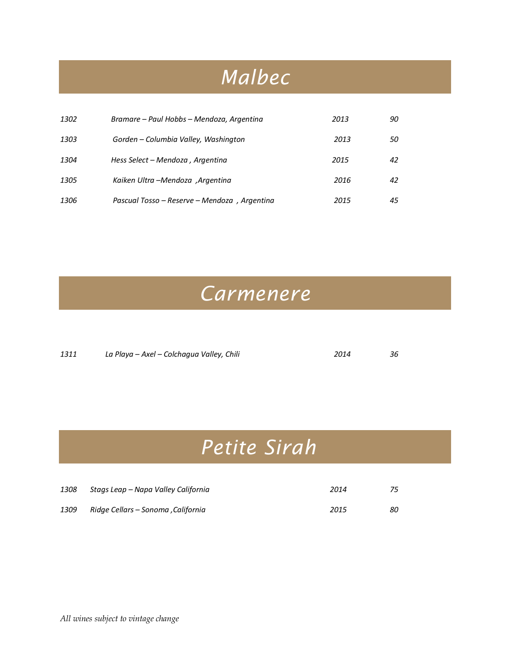### *Malbec*

| 1302 | Bramare – Paul Hobbs – Mendoza, Argentina    | 2013 | 90 |
|------|----------------------------------------------|------|----|
| 1303 | Gorden - Columbia Valley, Washington         | 2013 | 50 |
| 1304 | Hess Select – Mendoza, Argentina             | 2015 | 42 |
| 1305 | Kaiken Ultra -Mendoza ,Argentina             | 2016 | 42 |
| 1306 | Pascual Tosso – Reserve – Mendoza, Argentina | 2015 | 45 |

#### *Carmenere*

| 1311 | La Playa – Axel – Colchagua Valley, Chili | 2014 |  |
|------|-------------------------------------------|------|--|
|      |                                           |      |  |

## *Petite Sirah*

| 1308 | Stags Leap – Napa Valley California | 2014 |    |
|------|-------------------------------------|------|----|
| 1309 | Ridge Cellars – Sonoma , California | 2015 | 80 |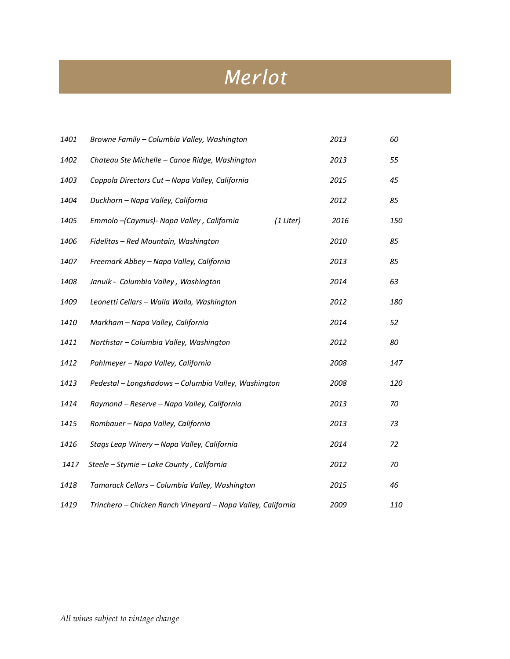## *Merlot*

| 1401 | Browne Family - Columbia Valley, Washington                  | 2013              | 60         |
|------|--------------------------------------------------------------|-------------------|------------|
| 1402 | Chateau Ste Michelle - Canoe Ridge, Washington               | 2013              | 55         |
| 1403 | Coppola Directors Cut - Napa Valley, California              | 2015              | 45         |
| 1404 | Duckhorn - Napa Valley, California                           | 2012              | 85         |
| 1405 | Emmolo - (Caymus) - Napa Valley, California                  | (1 Liter)<br>2016 | <i>150</i> |
| 1406 | Fidelitas - Red Mountain, Washington                         | 2010              | 85         |
| 1407 | Freemark Abbey - Napa Valley, California                     | 2013              | 85         |
| 1408 | Januik - Columbia Valley, Washington                         | 2014              | 63         |
| 1409 | Leonetti Cellars - Walla Walla, Washington                   | 2012              | 180        |
| 1410 | Markham - Napa Valley, California                            | 2014              | 52         |
| 1411 | Northstar - Columbia Valley, Washington                      | 2012              | 80         |
| 1412 | Pahlmeyer - Napa Valley, California                          | 2008              | 147        |
| 1413 | Pedestal - Longshadows - Columbia Valley, Washington         | 2008              | 120        |
| 1414 | Raymond - Reserve - Napa Valley, California                  | 2013              | 70         |
| 1415 | Rombauer - Napa Valley, California                           | 2013              | 73         |
| 1416 | Stags Leap Winery - Napa Valley, California                  | 2014              | 72         |
| 1417 | Steele - Stymie - Lake County, California                    | 2012              | 70         |
| 1418 | Tamarack Cellars - Columbia Valley, Washington               | 2015              | 46         |
| 1419 | Trinchero - Chicken Ranch Vineyard - Napa Valley, California | 2009              | 110        |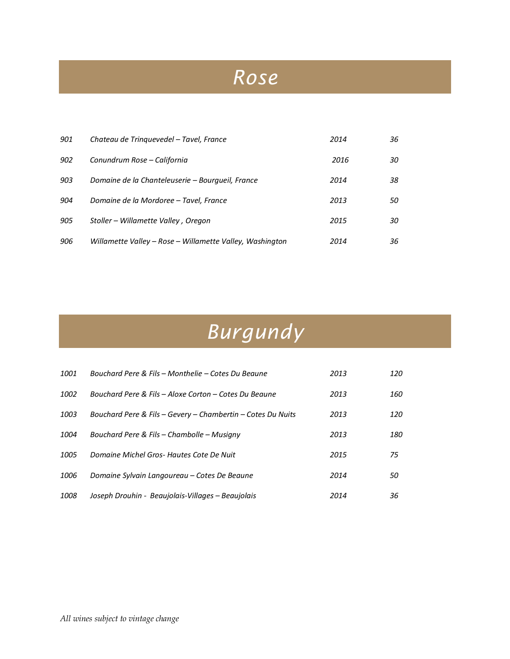### *Rose*

| 901 | Chateau de Trinquevedel – Tavel, France                  | 2014 | 36 |
|-----|----------------------------------------------------------|------|----|
| 902 | Conundrum Rose – California                              | 2016 | 30 |
| 903 | Domaine de la Chanteleuserie – Bourgueil, France         | 2014 | 38 |
| 904 | Domaine de la Mordoree – Tavel, France                   | 2013 | 50 |
| 905 | Stoller – Willamette Valley, Oregon                      | 2015 | 30 |
| 906 | Willamette Valley – Rose – Willamette Valley, Washington | 2014 | 36 |

# *Burgundy*

| 1001 | Bouchard Pere & Fils – Monthelie – Cotes Du Beaune          | 2013 | 120 |
|------|-------------------------------------------------------------|------|-----|
| 1002 | Bouchard Pere & Fils - Aloxe Corton - Cotes Du Beaune       | 2013 | 160 |
| 1003 | Bouchard Pere & Fils – Gevery – Chambertin – Cotes Du Nuits | 2013 | 120 |
| 1004 | Bouchard Pere & Fils – Chambolle – Musiany                  | 2013 | 180 |
| 1005 | Domaine Michel Gros- Hautes Cote De Nuit                    | 2015 | 75  |
| 1006 | Domaine Sylvain Langoureau – Cotes De Beaune                | 2014 | 50  |
| 1008 | Joseph Drouhin - Beaujolais-Villages – Beaujolais           | 2014 | 36  |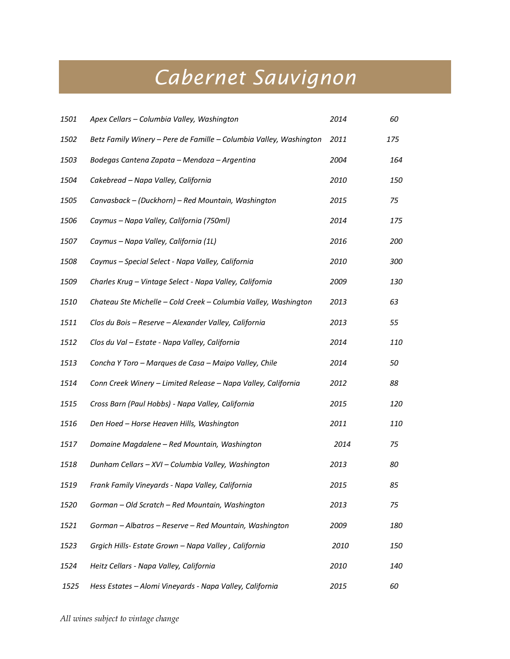## *Cabernet Sauvignon*

| 1501 | Apex Cellars - Columbia Valley, Washington                         | 2014 | 60  |
|------|--------------------------------------------------------------------|------|-----|
| 1502 | Betz Family Winery - Pere de Famille - Columbia Valley, Washington | 2011 | 175 |
| 1503 | Bodegas Cantena Zapata - Mendoza - Argentina                       | 2004 | 164 |
| 1504 | Cakebread - Napa Valley, California                                | 2010 | 150 |
| 1505 | Canvasback - (Duckhorn) - Red Mountain, Washington                 | 2015 | 75  |
| 1506 | Caymus - Napa Valley, California (750ml)                           | 2014 | 175 |
| 1507 | Caymus - Napa Valley, California (1L)                              | 2016 | 200 |
| 1508 | Caymus - Special Select - Napa Valley, California                  | 2010 | 300 |
| 1509 | Charles Krug - Vintage Select - Napa Valley, California            | 2009 | 130 |
| 1510 | Chateau Ste Michelle - Cold Creek - Columbia Valley, Washington    | 2013 | 63  |
| 1511 | Clos du Bois - Reserve - Alexander Valley, California              | 2013 | 55  |
| 1512 | Clos du Val - Estate - Napa Valley, California                     | 2014 | 110 |
| 1513 | Concha Y Toro - Marques de Casa - Maipo Valley, Chile              | 2014 | 50  |
| 1514 | Conn Creek Winery - Limited Release - Napa Valley, California      | 2012 | 88  |
| 1515 | Cross Barn (Paul Hobbs) - Napa Valley, California                  | 2015 | 120 |
| 1516 | Den Hoed - Horse Heaven Hills, Washington                          | 2011 | 110 |
| 1517 | Domaine Magdalene - Red Mountain, Washington                       | 2014 | 75  |
| 1518 | Dunham Cellars - XVI - Columbia Valley, Washington                 | 2013 | 80  |
| 1519 | Frank Family Vineyards - Napa Valley, California                   | 2015 | 85  |
| 1520 | Gorman - Old Scratch - Red Mountain, Washington                    | 2013 | 75  |
| 1521 | Gorman - Albatros - Reserve - Red Mountain, Washington             | 2009 | 180 |
| 1523 | Grgich Hills- Estate Grown - Napa Valley, California               | 2010 | 150 |
| 1524 | Heitz Cellars - Napa Valley, California                            | 2010 | 140 |
| 1525 | Hess Estates - Alomi Vineyards - Napa Valley, California           | 2015 | 60  |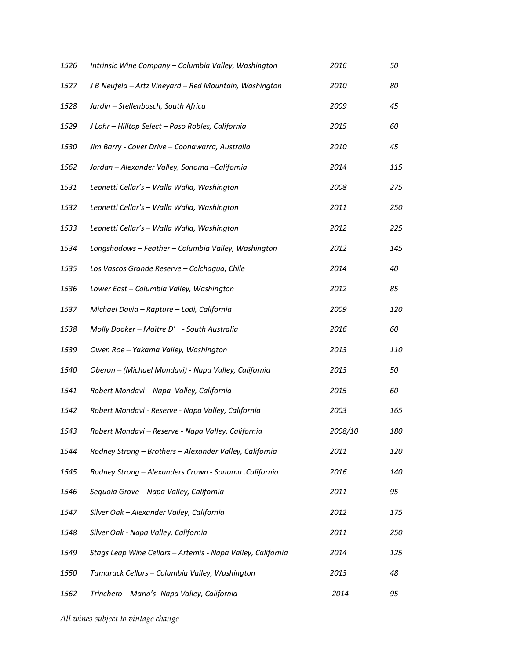| 1526 | Intrinsic Wine Company - Columbia Valley, Washington        | 2016    | 50  |
|------|-------------------------------------------------------------|---------|-----|
| 1527 | J B Neufeld - Artz Vineyard - Red Mountain, Washington      | 2010    | 80  |
| 1528 | Jardin - Stellenbosch, South Africa                         | 2009    | 45  |
| 1529 | J Lohr - Hilltop Select - Paso Robles, California           | 2015    | 60  |
| 1530 | Jim Barry - Cover Drive - Coonawarra, Australia             | 2010    | 45  |
| 1562 | Jordan - Alexander Valley, Sonoma - California              | 2014    | 115 |
| 1531 | Leonetti Cellar's - Walla Walla, Washington                 | 2008    | 275 |
| 1532 | Leonetti Cellar's - Walla Walla, Washington                 | 2011    | 250 |
| 1533 | Leonetti Cellar's - Walla Walla, Washington                 | 2012    | 225 |
| 1534 | Longshadows - Feather - Columbia Valley, Washington         | 2012    | 145 |
| 1535 | Los Vascos Grande Reserve - Colchagua, Chile                | 2014    | 40  |
| 1536 | Lower East - Columbia Valley, Washington                    | 2012    | 85  |
| 1537 | Michael David - Rapture - Lodi, California                  | 2009    | 120 |
| 1538 | Molly Dooker - Maître D' - South Australia                  | 2016    | 60  |
| 1539 | Owen Roe - Yakama Valley, Washington                        | 2013    | 110 |
| 1540 | Oberon - (Michael Mondavi) - Napa Valley, California        | 2013    | 50  |
| 1541 | Robert Mondavi - Napa Valley, California                    | 2015    | 60  |
| 1542 | Robert Mondavi - Reserve - Napa Valley, California          | 2003    | 165 |
| 1543 | Robert Mondavi - Reserve - Napa Valley, California          | 2008/10 | 180 |
| 1544 | Rodney Strong - Brothers - Alexander Valley, California     | 2011    | 120 |
| 1545 | Rodney Strong - Alexanders Crown - Sonoma .California       | 2016    | 140 |
| 1546 | Sequoia Grove - Napa Valley, California                     | 2011    | 95  |
| 1547 | Silver Oak - Alexander Valley, California                   | 2012    | 175 |
| 1548 | Silver Oak - Napa Valley, California                        | 2011    | 250 |
| 1549 | Stags Leap Wine Cellars - Artemis - Napa Valley, California | 2014    | 125 |
| 1550 | Tamarack Cellars - Columbia Valley, Washington              | 2013    | 48  |
| 1562 | Trinchero - Mario's- Napa Valley, California                | 2014    | 95  |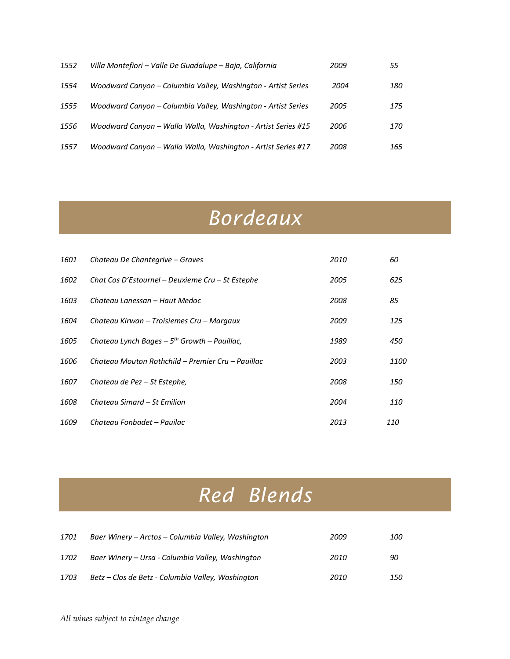| 1552 | Villa Montefiori – Valle De Guadalupe – Baja, California      | 2009 | 55  |
|------|---------------------------------------------------------------|------|-----|
| 1554 | Woodward Canyon - Columbia Valley, Washington - Artist Series | 2004 | 180 |
| 1555 | Woodward Canyon - Columbia Valley, Washington - Artist Series | 2005 | 175 |
| 1556 | Woodward Canyon - Walla Walla, Washington - Artist Series #15 | 2006 | 170 |
| 1557 | Woodward Canyon - Walla Walla, Washington - Artist Series #17 | 2008 | 165 |

#### *Bordeaux*

| 1601 | Chateau De Chantegrive – Graves                             | 2010 | 60         |
|------|-------------------------------------------------------------|------|------------|
| 1602 | Chat Cos D'Estournel – Deuxieme Cru – St Estephe            | 2005 | 625        |
| 1603 | Chateau Lanessan – Haut Medoc                               | 2008 | 85         |
| 1604 | Chateau Kirwan – Troisiemes Cru – Margaux                   | 2009 | 125        |
| 1605 | Chateau Lynch Bages $-5$ <sup>th</sup> Growth $-$ Pauillac, | 1989 | 450        |
| 1606 | Chateau Mouton Rothchild – Premier Cru – Pauillac           | 2003 | 1100       |
| 1607 | Chateau de Pez – St Estephe,                                | 2008 | 150        |
| 1608 | Chateau Simard – St Emilion                                 | 2004 | 110        |
| 1609 | Chateau Fonbadet - Pauilac                                  | 2013 | <i>110</i> |

# *Red Blends*

| 1701 | Baer Winery – Arctos – Columbia Valley, Washington | 2009 | <i>100</i> |
|------|----------------------------------------------------|------|------------|
| 1702 | Baer Winery – Ursa - Columbia Valley, Washington   | 2010 | 90         |
| 1703 | Betz – Clos de Betz - Columbia Valley, Washington  | 2010 | 150        |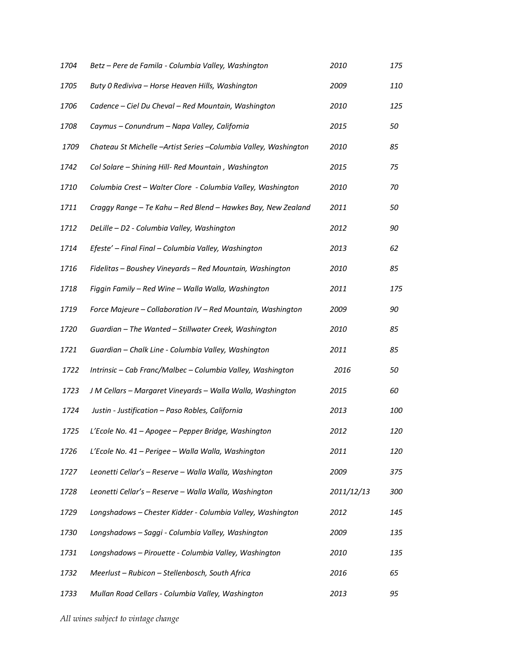| 1704 | Betz - Pere de Famila - Columbia Valley, Washington             | 2010       | 175 |
|------|-----------------------------------------------------------------|------------|-----|
| 1705 | Buty 0 Rediviva - Horse Heaven Hills, Washington                | 2009       | 110 |
| 1706 | Cadence - Ciel Du Cheval - Red Mountain, Washington             | 2010       | 125 |
| 1708 | Caymus - Conundrum - Napa Valley, California                    | 2015       | 50  |
| 1709 | Chateau St Michelle -Artist Series -Columbia Valley, Washington | 2010       | 85  |
| 1742 | Col Solare - Shining Hill- Red Mountain, Washington             | 2015       | 75  |
| 1710 | Columbia Crest - Walter Clore - Columbia Valley, Washington     | 2010       | 70  |
| 1711 | Craggy Range - Te Kahu - Red Blend - Hawkes Bay, New Zealand    | 2011       | 50  |
| 1712 | DeLille - D2 - Columbia Valley, Washington                      | 2012       | 90  |
| 1714 | Efeste' - Final Final - Columbia Valley, Washington             | 2013       | 62  |
| 1716 | Fidelitas - Boushey Vineyards - Red Mountain, Washington        | 2010       | 85  |
| 1718 | Figgin Family - Red Wine - Walla Walla, Washington              | 2011       | 175 |
| 1719 | Force Majeure - Collaboration IV - Red Mountain, Washington     | 2009       | 90  |
| 1720 | Guardian - The Wanted - Stillwater Creek, Washington            | 2010       | 85  |
| 1721 | Guardian - Chalk Line - Columbia Valley, Washington             | 2011       | 85  |
| 1722 | Intrinsic - Cab Franc/Malbec - Columbia Valley, Washington      | 2016       | 50  |
| 1723 | J M Cellars - Margaret Vineyards - Walla Walla, Washington      | 2015       | 60  |
| 1724 | Justin - Justification - Paso Robles, California                | 2013       | 100 |
| 1725 | L'Ecole No. 41 – Apogee – Pepper Bridge, Washington             | 2012       | 120 |
| 1726 | L'Ecole No. 41 – Perigee – Walla Walla, Washington              | 2011       | 120 |
| 1727 | Leonetti Cellar's - Reserve - Walla Walla, Washington           | 2009       | 375 |
| 1728 | Leonetti Cellar's - Reserve - Walla Walla, Washington           | 2011/12/13 | 300 |
| 1729 | Longshadows - Chester Kidder - Columbia Valley, Washington      | 2012       | 145 |
| 1730 | Longshadows - Saggi - Columbia Valley, Washington               | 2009       | 135 |
| 1731 | Longshadows - Pirouette - Columbia Valley, Washington           | 2010       | 135 |
| 1732 | Meerlust - Rubicon - Stellenbosch, South Africa                 | 2016       | 65  |
| 1733 | Mullan Road Cellars - Columbia Valley, Washington               | 2013       | 95  |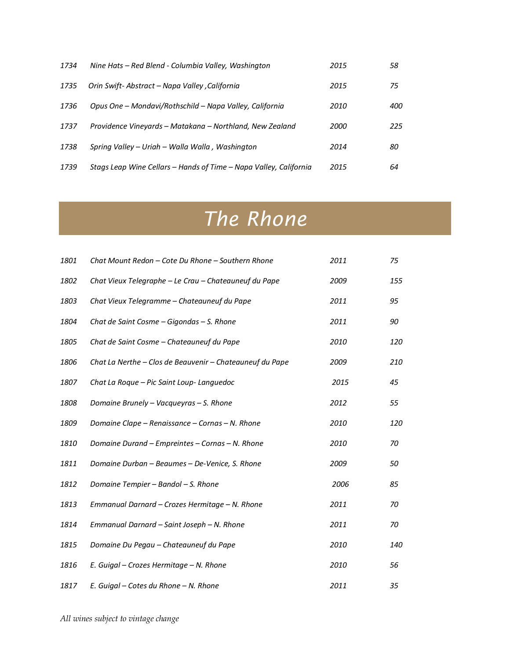| 1734 | Nine Hats - Red Blend - Columbia Valley, Washington               | 2015 | 58  |
|------|-------------------------------------------------------------------|------|-----|
| 1735 | Orin Swift-Abstract – Napa Valley , California                    | 2015 | 75  |
| 1736 | Opus One - Mondavi/Rothschild - Napa Valley, California           | 2010 | 400 |
| 1737 | Providence Vineyards – Matakana – Northland, New Zealand          | 2000 | 225 |
| 1738 | Spring Valley – Uriah – Walla Walla, Washington                   | 2014 | 80  |
| 1739 | Stags Leap Wine Cellars – Hands of Time – Napa Valley, California | 2015 | 64  |

## *The Rhone*

| 1801 | Chat Mount Redon - Cote Du Rhone - Southern Rhone        | 2011 | 75  |
|------|----------------------------------------------------------|------|-----|
| 1802 | Chat Vieux Telegraphe - Le Crau - Chateauneuf du Pape    | 2009 | 155 |
| 1803 | Chat Vieux Telegramme - Chateauneuf du Pape              | 2011 | 95  |
| 1804 | Chat de Saint Cosme - Gigondas - S. Rhone                | 2011 | 90  |
| 1805 | Chat de Saint Cosme - Chateauneuf du Pape                | 2010 | 120 |
| 1806 | Chat La Nerthe - Clos de Beauvenir - Chateauneuf du Pape | 2009 | 210 |
| 1807 | Chat La Roque - Pic Saint Loup- Languedoc                | 2015 | 45  |
| 1808 | Domaine Brunely - Vacqueyras - S. Rhone                  | 2012 | 55  |
| 1809 | Domaine Clape - Renaissance - Cornas - N. Rhone          | 2010 | 120 |
| 1810 | Domaine Durand - Empreintes - Cornas - N. Rhone          | 2010 | 70  |
| 1811 | Domaine Durban - Beaumes - De-Venice, S. Rhone           | 2009 | 50  |
| 1812 | Domaine Tempier - Bandol - S. Rhone                      | 2006 | 85  |
| 1813 | Emmanual Darnard - Crozes Hermitage - N. Rhone           | 2011 | 70  |
| 1814 | Emmanual Darnard - Saint Joseph - N. Rhone               | 2011 | 70  |
| 1815 | Domaine Du Pegau - Chateauneuf du Pape                   | 2010 | 140 |
| 1816 | E. Guigal - Crozes Hermitage - N. Rhone                  | 2010 | 56  |
| 1817 | E. Guigal - Cotes du Rhone - N. Rhone                    | 2011 | 35  |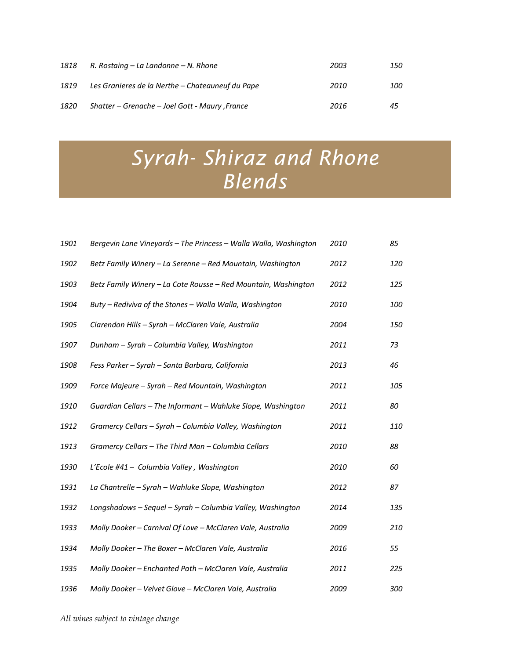| 1818 | R. Rostaing – La Landonne – N. Rhone             | 2003 | 150        |
|------|--------------------------------------------------|------|------------|
| 1819 | Les Granieres de la Nerthe – Chateauneuf du Pape | 2010 | <i>100</i> |
| 1820 | Shatter – Grenache – Joel Gott - Maury , France  | 2016 | 45         |

## *Syrah- Shiraz and Rhone Blends*

| 1901 | Bergevin Lane Vineyards - The Princess - Walla Walla, Washington | 2010 | 85  |
|------|------------------------------------------------------------------|------|-----|
| 1902 | Betz Family Winery - La Serenne - Red Mountain, Washington       | 2012 | 120 |
| 1903 | Betz Family Winery - La Cote Rousse - Red Mountain, Washington   | 2012 | 125 |
| 1904 | Buty - Rediviva of the Stones - Walla Walla, Washington          | 2010 | 100 |
| 1905 | Clarendon Hills - Syrah - McClaren Vale, Australia               | 2004 | 150 |
| 1907 | Dunham - Syrah - Columbia Valley, Washington                     | 2011 | 73  |
| 1908 | Fess Parker - Syrah - Santa Barbara, California                  | 2013 | 46  |
| 1909 | Force Majeure - Syrah - Red Mountain, Washington                 | 2011 | 105 |
| 1910 | Guardian Cellars - The Informant - Wahluke Slope, Washington     | 2011 | 80  |
| 1912 | Gramercy Cellars - Syrah - Columbia Valley, Washington           | 2011 | 110 |
| 1913 | Gramercy Cellars - The Third Man - Columbia Cellars              | 2010 | 88  |
| 1930 | L'Ecole #41 - Columbia Valley, Washington                        | 2010 | 60  |
| 1931 | La Chantrelle - Syrah - Wahluke Slope, Washington                | 2012 | 87  |
| 1932 | Longshadows - Sequel - Syrah - Columbia Valley, Washington       | 2014 | 135 |
| 1933 | Molly Dooker - Carnival Of Love - McClaren Vale, Australia       | 2009 | 210 |
| 1934 | Molly Dooker - The Boxer - McClaren Vale, Australia              | 2016 | 55  |
| 1935 | Molly Dooker - Enchanted Path - McClaren Vale, Australia         | 2011 | 225 |
| 1936 | Molly Dooker - Velvet Glove - McClaren Vale, Australia           | 2009 | 300 |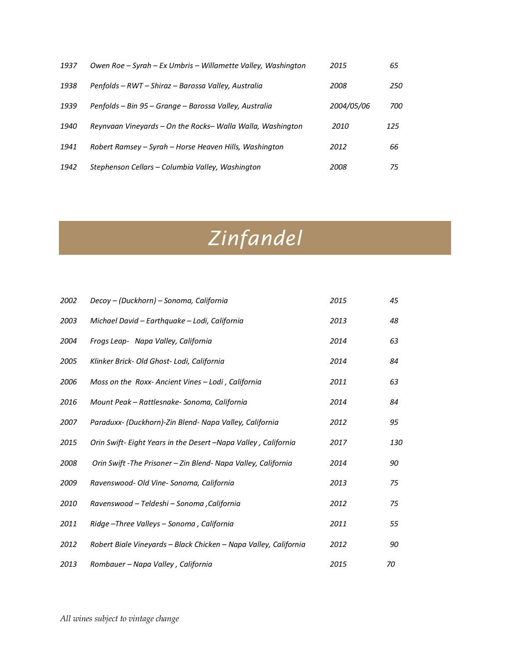| 1937 | Owen Roe – Syrah – Ex Umbris – Willamette Valley, Washington | 2015       | 65  |
|------|--------------------------------------------------------------|------------|-----|
| 1938 | Penfolds – RWT – Shiraz – Barossa Valley, Australia          | 2008       | 250 |
| 1939 | Penfolds – Bin 95 – Grange – Barossa Valley, Australia       | 2004/05/06 | 700 |
| 1940 | Reynvaan Vineyards – On the Rocks– Walla Walla, Washington   | 2010       | 125 |
| 1941 | Robert Ramsey – Syrah – Horse Heaven Hills, Washington       | 2012       | 66  |
| 1942 | Stephenson Cellars – Columbia Valley, Washington             | 2008       | 75  |

# *Zinfandel*

| 2002 | Decoy - (Duckhorn) - Sonoma, California                          | 2015 | 45  |
|------|------------------------------------------------------------------|------|-----|
| 2003 | Michael David - Earthquake - Lodi, California                    | 2013 | 48  |
| 2004 | Frogs Leap- Napa Valley, California                              | 2014 | 63  |
| 2005 | Klinker Brick- Old Ghost- Lodi, California                       | 2014 | 84  |
| 2006 | Moss on the Roxx-Ancient Vines - Lodi, California                | 2011 | 63  |
| 2016 | Mount Peak - Rattlesnake- Sonoma, California                     | 2014 | 84  |
| 2007 | Paraduxx- (Duckhorn)-Zin Blend- Napa Valley, California          | 2012 | 95  |
| 2015 | Orin Swift- Eight Years in the Desert -Napa Valley, California   | 2017 | 130 |
| 2008 | Orin Swift - The Prisoner - Zin Blend- Napa Valley, California   | 2014 | 90  |
| 2009 | Ravenswood- Old Vine- Sonoma, California                         | 2013 | 75  |
| 2010 | Ravenswood - Teldeshi - Sonoma , California                      | 2012 | 75  |
| 2011 | Ridge-Three Valleys-Sonoma, California                           | 2011 | 55  |
| 2012 | Robert Biale Vineyards - Black Chicken - Napa Valley, California | 2012 | 90  |
| 2013 | Rombauer - Napa Valley, California                               | 2015 | 70  |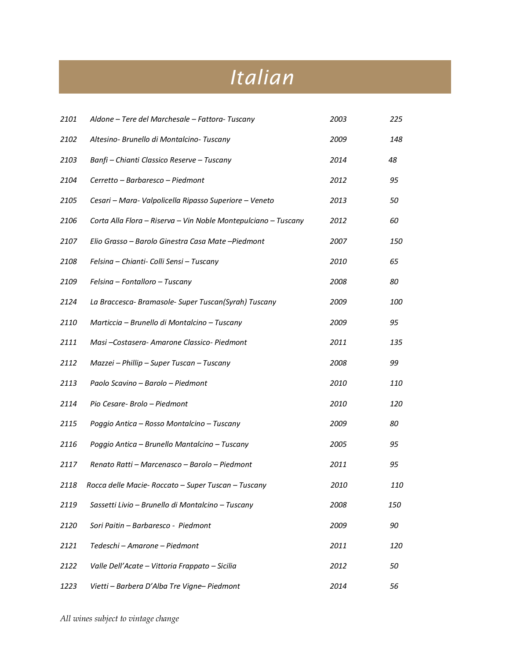## *Italian*

| 2101 | Aldone – Tere del Marchesale – Fattora- Tuscany                | 2003 | 225 |
|------|----------------------------------------------------------------|------|-----|
| 2102 | Altesino- Brunello di Montalcino- Tuscany                      | 2009 | 148 |
| 2103 | Banfi - Chianti Classico Reserve - Tuscany                     | 2014 | 48  |
| 2104 | Cerretto - Barbaresco - Piedmont                               | 2012 | 95  |
| 2105 | Cesari - Mara- Valpolicella Ripasso Superiore - Veneto         | 2013 | 50  |
| 2106 | Corta Alla Flora - Riserva - Vin Noble Montepulciano - Tuscany | 2012 | 60  |
| 2107 | Elio Grasso - Barolo Ginestra Casa Mate - Piedmont             | 2007 | 150 |
| 2108 | Felsina - Chianti- Colli Sensi - Tuscany                       | 2010 | 65  |
| 2109 | Felsina - Fontalloro - Tuscany                                 | 2008 | 80  |
| 2124 | La Braccesca-Bramasole-Super Tuscan(Syrah) Tuscany             | 2009 | 100 |
| 2110 | Marticcia - Brunello di Montalcino - Tuscany                   | 2009 | 95  |
| 2111 | Masi-Costasera-Amarone Classico-Piedmont                       | 2011 | 135 |
| 2112 | Mazzei - Phillip - Super Tuscan - Tuscany                      | 2008 | 99  |
| 2113 | Paolo Scavino - Barolo - Piedmont                              | 2010 | 110 |
| 2114 | Pio Cesare- Brolo - Piedmont                                   | 2010 | 120 |
| 2115 | Poggio Antica - Rosso Montalcino - Tuscany                     | 2009 | 80  |
| 2116 | Poggio Antica - Brunello Mantalcino - Tuscany                  | 2005 | 95  |
| 2117 | Renato Ratti - Marcenasco - Barolo - Piedmont                  | 2011 | 95  |
| 2118 | Rocca delle Macie- Roccato - Super Tuscan - Tuscany            | 2010 | 110 |
| 2119 | Sassetti Livio - Brunello di Montalcino - Tuscany              | 2008 | 150 |
| 2120 | Sori Paitin - Barbaresco - Piedmont                            | 2009 | 90  |
| 2121 | Tedeschi - Amarone - Piedmont                                  | 2011 | 120 |
| 2122 | Valle Dell'Acate - Vittoria Frappato - Sicilia                 | 2012 | 50  |
| 1223 | Vietti - Barbera D'Alba Tre Vigne- Piedmont                    | 2014 | 56  |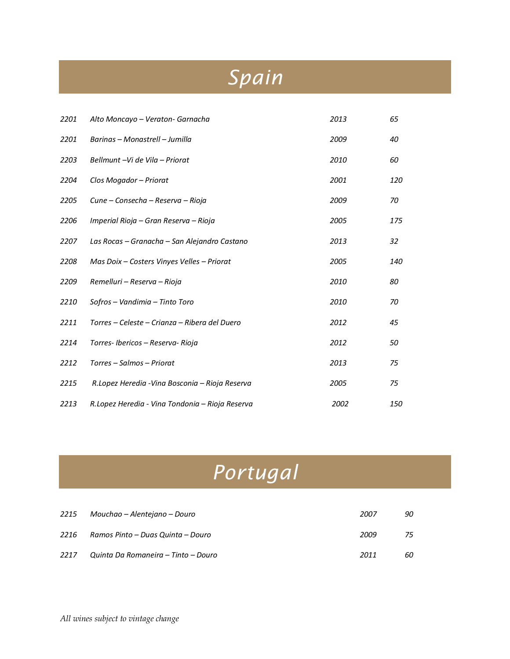## *Spain*

| 2201 | Alto Moncayo – Veraton- Garnacha                | 2013 | 65         |
|------|-------------------------------------------------|------|------------|
| 2201 | Barinas - Monastrell - Jumilla                  | 2009 | 40         |
| 2203 | Bellmunt -Vi de Vila - Priorat                  | 2010 | 60         |
| 2204 | Clos Mogador - Priorat                          | 2001 | 120        |
| 2205 | Cune – Consecha – Reserva – Rioja               | 2009 | 70         |
| 2206 | Imperial Rioja – Gran Reserva – Rioja           | 2005 | 175        |
| 2207 | Las Rocas - Granacha - San Alejandro Castano    | 2013 | 32         |
| 2208 | Mas Doix - Costers Vinyes Velles - Priorat      | 2005 | 140        |
| 2209 | Remelluri – Reserva – Rioja                     | 2010 | 80         |
| 2210 | Sofros - Vandimia - Tinto Toro                  | 2010 | 70         |
| 2211 | Torres – Celeste – Crianza – Ribera del Duero   | 2012 | 45         |
| 2214 | Torres-Ibericos - Reserva- Rioja                | 2012 | 50         |
| 2212 | Torres – Salmos – Priorat                       | 2013 | 75         |
| 2215 | R.Lopez Heredia - Vina Bosconia – Rioja Reserva | 2005 | 75         |
| 2213 | R.Lopez Heredia - Vina Tondonia – Rioja Reserva | 2002 | <i>150</i> |

## *Portugal*

| 2215 | Mouchao – Alentejano – Douro        | 2007 | 90 |
|------|-------------------------------------|------|----|
| 2216 | Ramos Pinto – Duas Quinta – Douro   | 2009 | 75 |
| 2217 | Quinta Da Romaneira - Tinto - Douro | 2011 | 60 |